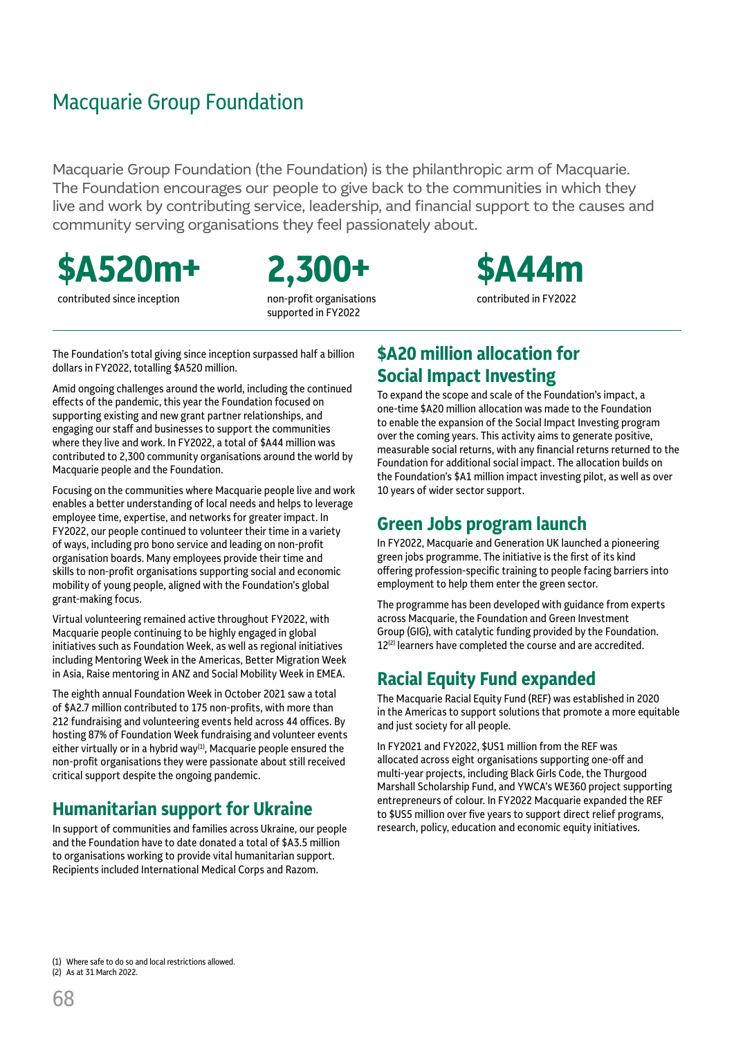# Macquarie Group Foundation

Macquarie Group Foundation (the Foundation) is the philanthropic arm of Macquarie. The Foundation encourages our people to give back to the communities in which they live and work by contributing service, leadership, and financial support to the causes and community serving organisations they feel passionately about.



contributed since inception

**2,300+**

non-profit organisations supported in FY2022



Amid ongoing challenges around the world, including the continued effects of the pandemic, this year the Foundation focused on supporting existing and new grant partner relationships, and engaging our staff and businesses to support the communities where they live and work. In FY2022, a total of \$A44 million was contributed to 2,300 community organisations around the world by Macquarie people and the Foundation.

Focusing on the communities where Macquarie people live and work enables a better understanding of local needs and helps to leverage employee time, expertise, and networks for greater impact. In FY2022, our people continued to volunteer their time in a variety of ways, including pro bono service and leading on non-profit organisation boards. Many employees provide their time and skills to non-profit organisations supporting social and economic mobility of young people, aligned with the Foundation's global grant-making focus.

Virtual volunteering remained active throughout FY2022, with Macquarie people continuing to be highly engaged in global initiatives such as Foundation Week, as well as regional initiatives including Mentoring Week in the Americas, Better Migration Week in Asia, Raise mentoring in ANZ and Social Mobility Week in EMEA.

The eighth annual Foundation Week in October 2021 saw a total of \$A2.7 million contributed to 175 non-profits, with more than 212 fundraising and volunteering events held across 44 offices. By hosting 87% of Foundation Week fundraising and volunteer events either virtually or in a hybrid way<sup>(1)</sup>, Macquarie people ensured the non-profit organisations they were passionate about still received critical support despite the ongoing pandemic.

### **Humanitarian support for Ukraine**

In support of communities and families across Ukraine, our people and the Foundation have to date donated a total of \$A3.5 million to organisations working to provide vital humanitarian support. Recipients included International Medical Corps and Razom.

# **\$A20 million allocation for Social Impact Investing**

To expand the scope and scale of the Foundation's impact, a one-time \$A20 million allocation was made to the Foundation to enable the expansion of the Social Impact Investing program over the coming years. This activity aims to generate positive, measurable social returns, with any financial returns returned to the Foundation for additional social impact. The allocation builds on the Foundation's \$A1 million impact investing pilot, as well as over 10 years of wider sector support.

**\$A44m**

contributed in FY2022

# **Green Jobs program launch**

In FY2022, Macquarie and Generation UK launched a pioneering green jobs programme. The initiative is the first of its kind offering profession-specific training to people facing barriers into employment to help them enter the green sector.

The programme has been developed with guidance from experts across Macquarie, the Foundation and Green Investment Group (GIG), with catalytic funding provided by the Foundation. 12<sup>(2)</sup> learners have completed the course and are accredited.

# **Racial Equity Fund expanded**

The Macquarie Racial Equity Fund (REF) was established in 2020 in the Americas to support solutions that promote a more equitable and just society for all people.

In FY2021 and FY2022, \$US1 million from the REF was allocated across eight organisations supporting one-off and multi-year projects, including Black Girls Code, the Thurgood Marshall Scholarship Fund, and YWCA's WE360 project supporting entrepreneurs of colour. In FY2022 Macquarie expanded the REF to \$US5 million over five years to support direct relief programs, research, policy, education and economic equity initiatives.

(1) Where safe to do so and local restrictions allowed.

(2) As at 31 March 2022.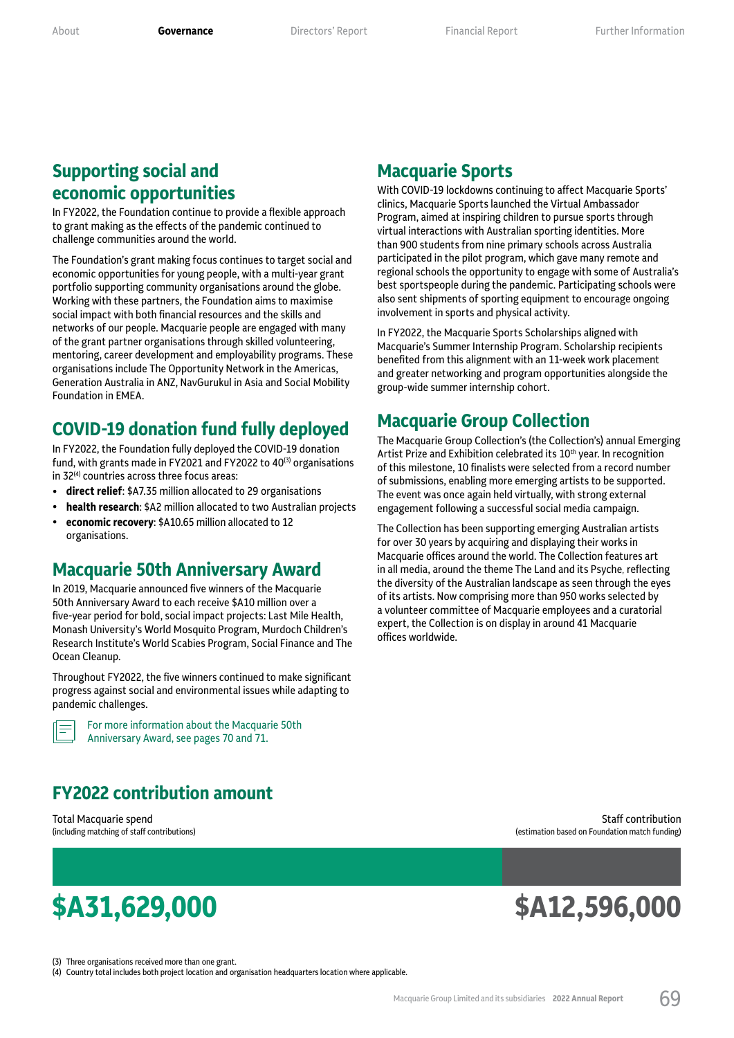## **Supporting social and economic opportunities**

In FY2022, the Foundation continue to provide a flexible approach to grant making as the effects of the pandemic continued to challenge communities around the world.

The Foundation's grant making focus continues to target social and economic opportunities for young people, with a multi-year grant portfolio supporting community organisations around the globe. Working with these partners, the Foundation aims to maximise social impact with both financial resources and the skills and networks of our people. Macquarie people are engaged with many of the grant partner organisations through skilled volunteering, mentoring, career development and employability programs. These organisations include The Opportunity Network in the Americas, Generation Australia in ANZ, NavGurukul in Asia and Social Mobility Foundation in EMEA.

#### **COVID-19 donation fund fully deployed**

In FY2022, the Foundation fully deployed the COVID-19 donation fund, with grants made in FY2021 and FY2022 to 40<sup>(3)</sup> organisations in 32<sup>(4)</sup> countries across three focus areas:

- **direct relief**: \$A7.35 million allocated to 29 organisations
- **health research**: \$A2 million allocated to two Australian projects
- **economic recovery**: \$A10.65 million allocated to 12 organisations.

#### **Macquarie 50th Anniversary Award**

In 2019, Macquarie announced five winners of the Macquarie 50th Anniversary Award to each receive \$A10 million over a five-vear period for bold, social impact projects: Last Mile Health, Monash University's World Mosquito Program, Murdoch Children's Research Institute's World Scabies Program, Social Finance and The Ocean Cleanup.

Throughout FY2022, the five winners continued to make significant progress against social and environmental issues while adapting to pandemic challenges.



For more information about the Macquarie 50th Anniversary Award, see pages [70](#page-2-0) and [71.](#page-3-0)

### **Macquarie Sports**

With COVID-19 lockdowns continuing to affect Macquarie Sports' clinics, Macquarie Sports launched the Virtual Ambassador Program, aimed at inspiring children to pursue sports through virtual interactions with Australian sporting identities. More than 900 students from nine primary schools across Australia participated in the pilot program, which gave many remote and regional schools the opportunity to engage with some of Australia's best sportspeople during the pandemic. Participating schools were also sent shipments of sporting equipment to encourage ongoing involvement in sports and physical activity.

In FY2022, the Macquarie Sports Scholarships aligned with Macquarie's Summer Internship Program. Scholarship recipients benefited from this alignment with an 11‑week work placement and greater networking and program opportunities alongside the group-wide summer internship cohort.

#### **Macquarie Group Collection**

The Macquarie Group Collection's (the Collection's) annual Emerging Artist Prize and Exhibition celebrated its 10<sup>th</sup> year. In recognition of this milestone, 10 finalists were selected from a record number of submissions, enabling more emerging artists to be supported. The event was once again held virtually, with strong external engagement following a successful social media campaign.

The Collection has been supporting emerging Australian artists for over 30 years by acquiring and displaying their works in Macquarie offices around the world. The Collection features art in all media, around the theme The Land and its Psyche, reflecting the diversity of the Australian landscape as seen through the eyes of its artists. Now comprising more than 950 works selected by a volunteer committee of Macquarie employees and a curatorial expert, the Collection is on display in around 41 Macquarie offices worldwide.

#### **FY2022 contribution amount**

Total Macquarie spend (including matching of staff contributions)



Staff contribution (estimation based on Foundation match funding)

(3) Three organisations received more than one grant.

(4) Country total includes both project location and organisation headquarters location where applicable.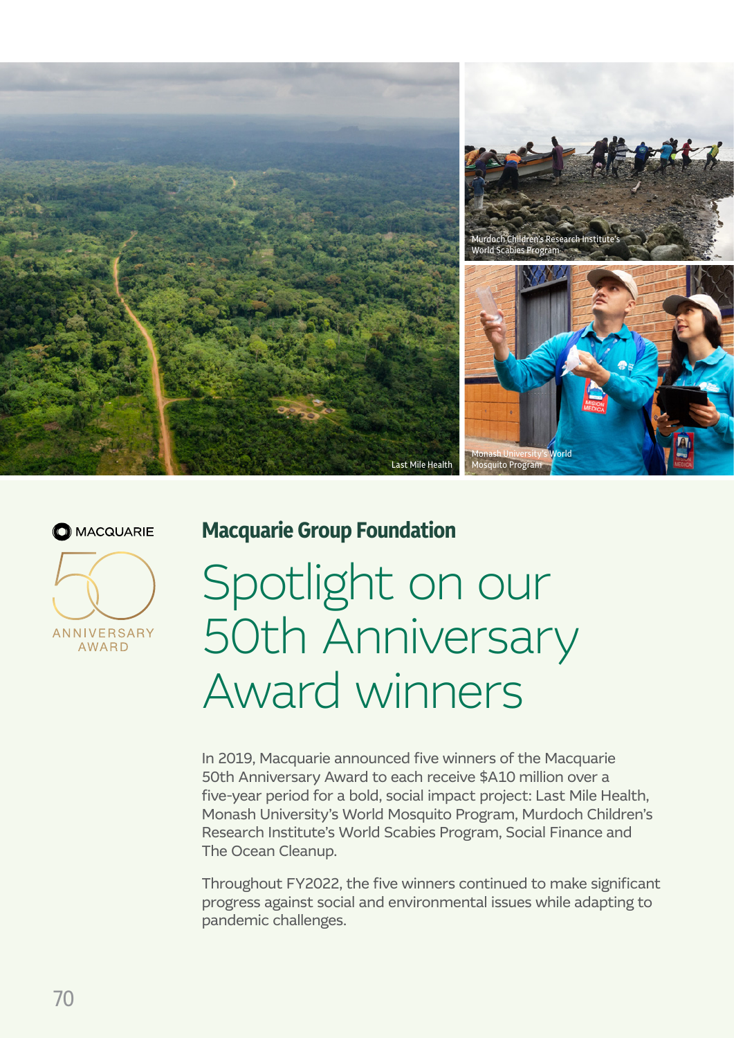



<span id="page-2-0"></span>**Macquarie Group Foundation**

Spotlight on our 50th Anniversary Award winners

In 2019, Macquarie announced five winners of the Macquarie 50th Anniversary Award to each receive \$A10 million over a five-year period for a bold, social impact project: Last Mile Health, Monash University's World Mosquito Program, Murdoch Children's Research Institute's World Scabies Program, Social Finance and The Ocean Cleanup.

Throughout FY2022, the five winners continued to make significant progress against social and environmental issues while adapting to pandemic challenges.